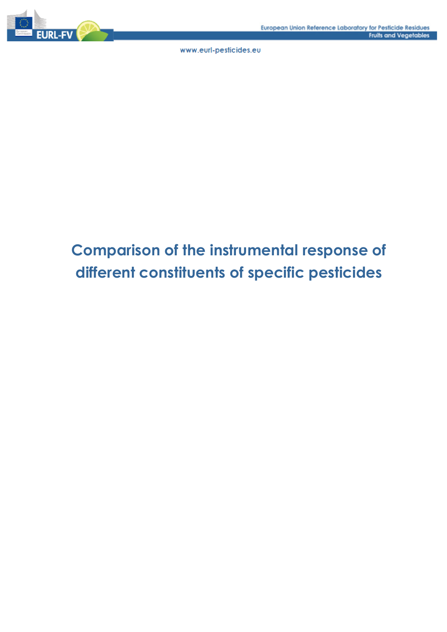

# **Comparison of the instrumental response of different constituents of specific pesticides**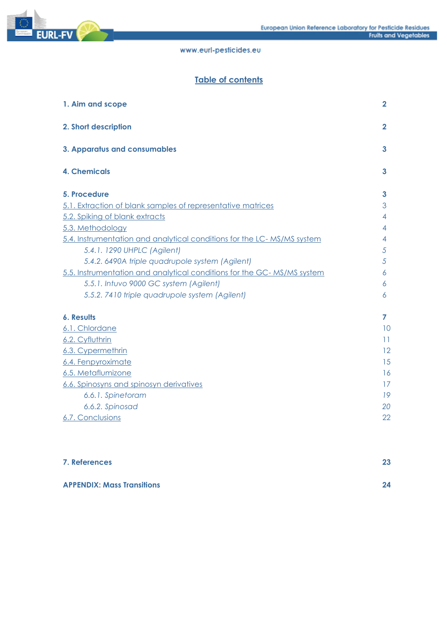

# **Table of contents**

| 1. Aim and scope                                                       | $\mathbf{2}$ |
|------------------------------------------------------------------------|--------------|
| 2. Short description                                                   | $\mathbf{2}$ |
| 3. Apparatus and consumables                                           | 3            |
| <b>4. Chemicals</b>                                                    | 3            |
| 5. Procedure                                                           | 3            |
| 5.1. Extraction of blank samples of representative matrices            | 3            |
| 5.2. Spiking of blank extracts                                         | 4            |
| 5.3. Methodology                                                       | 4            |
| 5.4. Instrumentation and analytical conditions for the LC-MS/MS system | 4            |
| 5.4.1. 1290 UHPLC (Agilent)                                            | 5            |
| 5.4.2. 6490A triple quadrupole system (Agilent)                        | 5            |
| 5.5. Instrumentation and analytical conditions for the GC-MS/MS system | 6            |
| 5.5.1. Intuvo 9000 GC system (Agilent)                                 | 6            |
| 5.5.2. 7410 triple quadrupole system (Agilent)                         | 6            |
| <b>6. Results</b>                                                      | 7            |
| 6.1. Chlordane                                                         | 10           |
| 6.2. Cyfluthrin                                                        | 11           |
| 6.3. Cypermethrin                                                      | 12           |
| 6.4. Fenpyroximate                                                     | 15           |
| 6.5. Metaflumizone                                                     | 16           |
| 6.6. Spinosyns and spinosyn derivatives                                | 17           |
| 6.6.1. Spinetoram                                                      | 19           |
| 6.6.2. Spinosad                                                        | 20           |
| 6.7. Conclusions                                                       | 22           |
|                                                                        |              |
|                                                                        |              |
|                                                                        |              |

| 7. References                     | 23 |
|-----------------------------------|----|
| <b>APPENDIX: Mass Transitions</b> | 24 |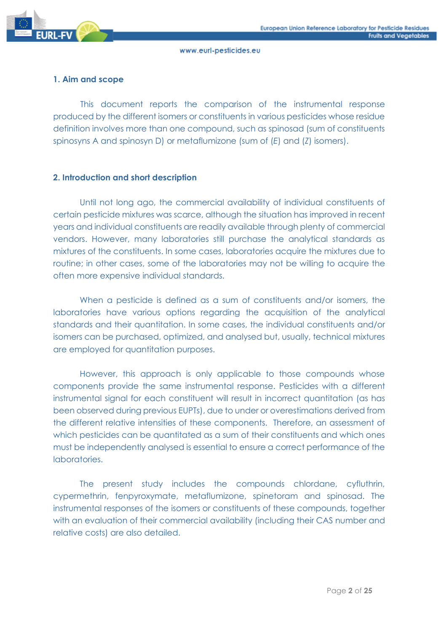

# **1. Aim and scope**

This document reports the comparison of the instrumental response produced by the different isomers or constituents in various pesticides whose residue definition involves more than one compound, such as spinosad (sum of constituents spinosyns A and spinosyn D) or metaflumizone (sum of (*E*) and (*Z*) isomers).

# **2. Introduction and short description**

Until not long ago, the commercial availability of individual constituents of certain pesticide mixtures was scarce, although the situation has improved in recent years and individual constituents are readily available through plenty of commercial vendors. However, many laboratories still purchase the analytical standards as mixtures of the constituents. In some cases, laboratories acquire the mixtures due to routine; in other cases, some of the laboratories may not be willing to acquire the often more expensive individual standards.

When a pesticide is defined as a sum of constituents and/or isomers, the laboratories have various options regarding the acquisition of the analytical standards and their quantitation. In some cases, the individual constituents and/or isomers can be purchased, optimized, and analysed but, usually, technical mixtures are employed for quantitation purposes.

However, this approach is only applicable to those compounds whose components provide the same instrumental response. Pesticides with a different instrumental signal for each constituent will result in incorrect quantitation (as has been observed during previous EUPTs), due to under or overestimations derived from the different relative intensities of these components. Therefore, an assessment of which pesticides can be quantitated as a sum of their constituents and which ones must be independently analysed is essential to ensure a correct performance of the laboratories.

The present study includes the compounds chlordane, cyfluthrin, cypermethrin, fenpyroxymate, metaflumizone, spinetoram and spinosad. The instrumental responses of the isomers or constituents of these compounds, together with an evaluation of their commercial availability (including their CAS number and relative costs) are also detailed.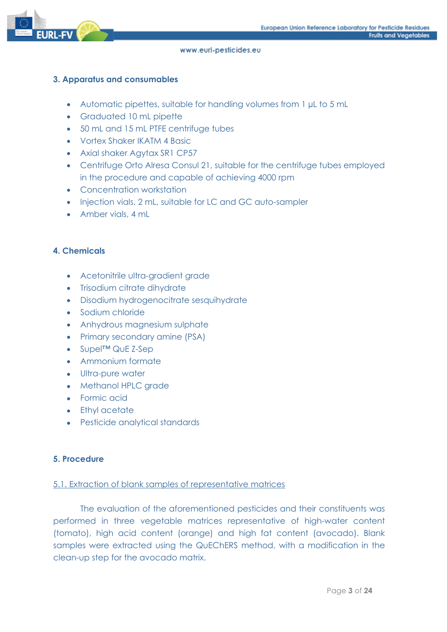

# **3. Apparatus and consumables**

- Automatic pipettes, suitable for handling volumes from 1 µL to 5 mL
- Graduated 10 mL pipette
- 50 mL and 15 mL PTFE centrifuge tubes
- Vortex Shaker IKATM 4 Basic
- Axial shaker Aaytax SR1 CP57
- Centrifuge Orto Alresa Consul 21, suitable for the centrifuge tubes employed in the procedure and capable of achieving 4000 rpm
- Concentration workstation
- Injection vials, 2 mL, suitable for LC and GC auto-sampler
- Amber vials, 4 mL

# **4. Chemicals**

- Acetonitrile ultra-gradient grade
- Trisodium citrate dihydrate
- Disodium hydrogenocitrate sesquihydrate
- Sodium chloride
- Anhydrous magnesium sulphate
- Primary secondary amine (PSA)
- Supel™ QuE Z-Sep
- Ammonium formate
- Ultra-pure water
- Methanol HPLC grade
- Formic acid
- Ethyl acetate
- Pesticide analytical standards

# **5. Procedure**

# 5.1. Extraction of blank samples of representative matrices

The evaluation of the aforementioned pesticides and their constituents was performed in three vegetable matrices representative of high-water content (tomato), high acid content (orange) and high fat content (avocado). Blank samples were extracted using the QuEChERS method, with a modification in the clean-up step for the avocado matrix.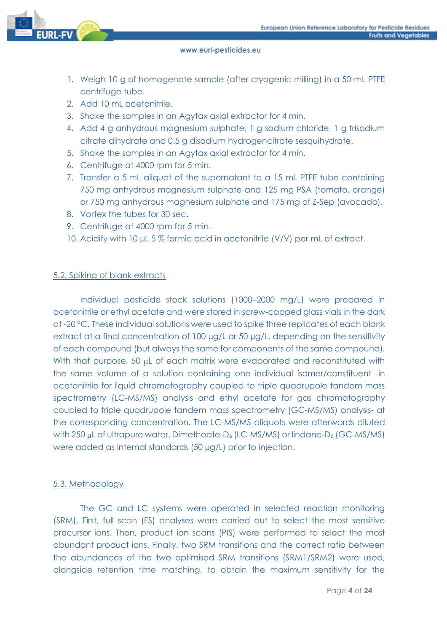

- 1. Weigh 10 g of homogenate sample (after cryogenic milling) in a 50-mL PTFE centrifuge tube.
- 2. Add 10 mL acetonitrile.
- 3. Shake the samples in an Agytax axial extractor for 4 min.
- 4. Add 4 g anhydrous magnesium sulphate, 1 g sodium chloride, 1 g trisodium citrate dihydrate and 0.5 g disodium hydrogencitrate sesquihydrate.
- 5. Shake the samples in an Agytax axial extractor for 4 min.
- 6. Centrifuge at 4000 rpm for 5 min.
- 7. Transfer a 5 mL aliquot of the supernatant to a 15 mL PTFE tube containing 750 mg anhydrous magnesium sulphate and 125 mg PSA (tomato, orange) or 750 mg anhydrous magnesium sulphate and 175 mg of Z-Sep (avocado).
- 8. Vortex the tubes for 30 sec.
- 9. Centrifuge at 4000 rpm for 5 min.
- 10. Acidify with 10 μL 5 % formic acid in acetonitrile (V/V) per mL of extract.

# 5.2. Spiking of blank extracts

Individual pesticide stock solutions (1000–2000 mg/L) were prepared in acetonitrile or ethyl acetate and were stored in screw-capped glass vials in the dark at -20 °C. These individual solutions were used to spike three replicates of each blank extract at a final concentration of 100 µg/L or 50 µg/L, depending on the sensitivity of each compound (but always the same for components of the same compound). With that purpose, 50 µL of each matrix were evaporated and reconstituted with the same volume of a solution containing one individual isomer/constituent -in acetonitrile for liquid chromatography coupled to triple quadrupole tandem mass spectrometry (LC-MS/MS) analysis and ethyl acetate for gas chromatography coupled to triple quadrupole tandem mass spectrometry (GC-MS/MS) analysis- at the corresponding concentration. The LC-MS/MS aliquots were afterwards diluted with 250  $\mu$ L of ultrapure water. Dimethoate-D<sub>6</sub> (LC-MS/MS) or lindane-D<sub>6</sub> (GC-MS/MS) were added as internal standards (50 µg/L) prior to injection.

# 5.3. Methodology

The GC and LC systems were operated in selected reaction monitoring (SRM). First, full scan (FS) analyses were carried out to select the most sensitive precursor ions. Then, product ion scans (PIS) were performed to select the most abundant product ions. Finally, two SRM transitions and the correct ratio between the abundances of the two optimised SRM transitions (SRM1/SRM2) were used, alongside retention time matching. to obtain the maximum sensitivity for the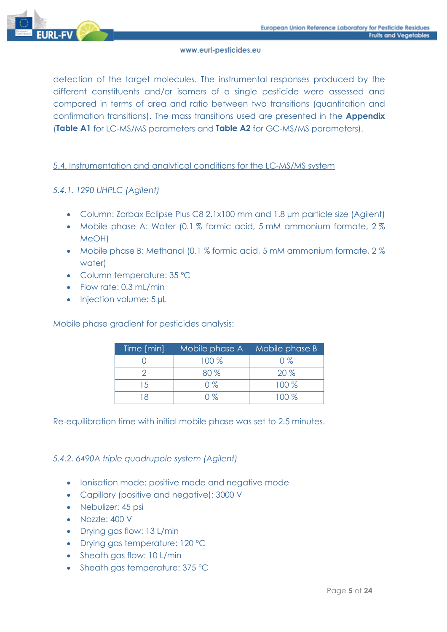

detection of the target molecules. The instrumental responses produced by the different constituents and/or isomers of a single pesticide were assessed and compared in terms of area and ratio between two transitions (quantitation and confirmation transitions). The mass transitions used are presented in the **Appendix** (**Table A1** for LC-MS/MS parameters and **Table A2** for GC-MS/MS parameters).

# 5.4. Instrumentation and analytical conditions for the LC-MS/MS system

# *5.4.1. 1290 UHPLC (Agilent)*

- Column: Zorbax Eclipse Plus C8 2.1x100 mm and 1.8 µm particle size (Agilent)
- Mobile phase A: Water (0.1 % formic acid, 5 mM ammonium formate, 2 % MeOH)
- Mobile phase B: Methanol (0.1 % formic acid, 5 mM ammonium formate, 2 % water)
- Column temperature: 35 ºC
- Flow rate: 0.3 mL/min
- Injection volume: 5 µL

Mobile phase gradient for pesticides analysis:

| Time [min] | Mobile phase A Mobile phase B |         |
|------------|-------------------------------|---------|
|            | 100 %                         | $0\%$   |
|            | $80\%$                        | $20\%$  |
| 15         | $0\%$                         | $100\%$ |
|            | በ %                           | $100\%$ |

Re-equilibration time with initial mobile phase was set to 2.5 minutes.

*5.4.2. 6490A triple quadrupole system (Agilent)*

- Ionisation mode: positive mode and negative mode
- Capillary (positive and negative): 3000 V
- Nebulizer: 45 psi
- Nozzle: 400 V
- Drying gas flow: 13 L/min
- Drying gas temperature: 120 ºC
- Sheath gas flow: 10 L/min
- Sheath gas temperature: 375 °C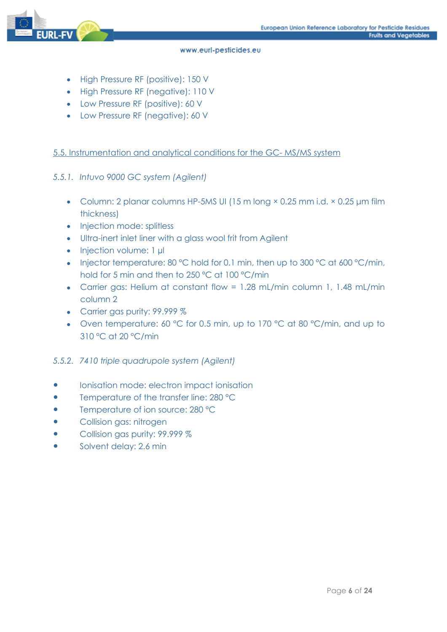

- High Pressure RF (positive): 150 V
- High Pressure RF (negative): 110 V
- Low Pressure RF (positive): 60 V
- Low Pressure RF (negative): 60 V

# 5.5. Instrumentation and analytical conditions for the GC- MS/MS system

# *5.5.1. Intuvo 9000 GC system (Agilent)*

- Column: 2 planar columns HP-5MS UI (15 m long × 0.25 mm i.d. × 0.25 µm film thickness)
- Injection mode: splitless
- Ultra-inert inlet liner with a glass wool frit from Agilent
- Injection volume: 1 µl
- Injector temperature: 80 °C hold for 0.1 min, then up to 300 °C at 600 °C/min, hold for 5 min and then to 250 ºC at 100 °C/min
- Carrier gas: Helium at constant flow = 1.28 mL/min column 1, 1.48 mL/min column 2
- Carrier gas purity: 99.999 %
- Oven temperature: 60 °C for 0.5 min, up to 170 °C at 80 °C/min, and up to 310 °C at 20 °C/min

### *5.5.2. 7410 triple quadrupole system (Agilent)*

- Ionisation mode: electron impact ionisation
- Temperature of the transfer line: 280 °C
- Temperature of ion source: 280 °C
- Collision gas: nitrogen
- Collision gas purity: 99.999 %
- Solvent delay: 2.6 min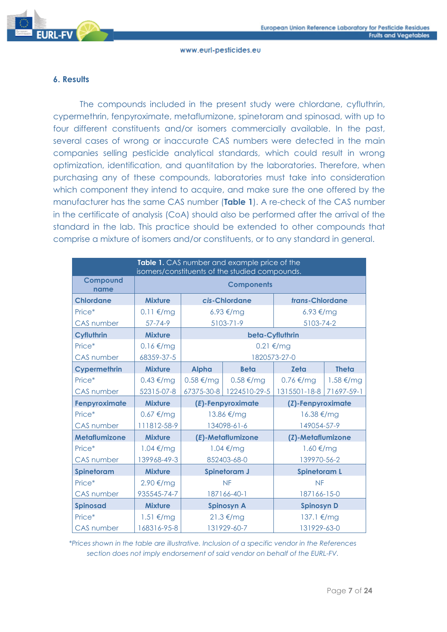

# **6. Results**

The compounds included in the present study were chlordane, cyfluthrin, cypermethrin, fenpyroximate, metaflumizone, spinetoram and spinosad, with up to four different constituents and/or isomers commercially available. In the past, several cases of wrong or inaccurate CAS numbers were detected in the main companies selling pesticide analytical standards, which could result in wrong optimization, identification, and quantitation by the laboratories. Therefore, when purchasing any of these compounds, laboratories must take into consideration which component they intend to acquire, and make sure the one offered by the manufacturer has the same CAS number (**Table 1**). A re-check of the CAS number in the certificate of analysis (CoA) should also be performed after the arrival of the standard in the lab. This practice should be extended to other compounds that comprise a mixture of isomers and/or constituents, or to any standard in general.

| Table 1. CAS number and example price of the<br>isomers/constituents of the studied compounds. |                         |                                  |                     |                         |                     |  |  |
|------------------------------------------------------------------------------------------------|-------------------------|----------------------------------|---------------------|-------------------------|---------------------|--|--|
| Compound<br>name                                                                               | <b>Components</b>       |                                  |                     |                         |                     |  |  |
| <b>Chlordane</b>                                                                               | <b>Mixture</b>          |                                  | cis-Chlordane       | trans-Chlordane         |                     |  |  |
| Price*                                                                                         | $0.11 \text{€/mg}$      |                                  | 6.93 €/mg           | 6.93 €/mg               |                     |  |  |
| <b>CAS</b> number                                                                              | $57 - 74 - 9$           |                                  | 5103-71-9           | 5103-74-2               |                     |  |  |
| Cyfluthrin                                                                                     | <b>Mixture</b>          |                                  | beta-Cyfluthrin     |                         |                     |  |  |
| Price*                                                                                         | $0.16 \text{€/mg}$      |                                  | $0.21 \text{ E/mg}$ |                         |                     |  |  |
| <b>CAS</b> number                                                                              | 68359-37-5              |                                  |                     | 1820573-27-0            |                     |  |  |
| Cypermethrin                                                                                   | <b>Mixture</b>          | <b>Alpha</b>                     | <b>Beta</b>         | <b>Zeta</b>             | <b>Theta</b>        |  |  |
| Price*                                                                                         | $0.43 \text{€/mg}$      | $0.58 \in$ /mg<br>$0.58 \in$ /mg |                     | $0.76 \text{€/mg}$      | $1.58 \text{ E/mg}$ |  |  |
| <b>CAS</b> number                                                                              | 52315-07-8              | 67375-30-8                       | 1224510-29-5        | 1315501-18-8 71697-59-1 |                     |  |  |
| Fenpyroximate                                                                                  | <b>Mixture</b>          |                                  | (E)-Fenpyroximate   | (Z)-Fenpyroximate       |                     |  |  |
|                                                                                                |                         | 13.86 €/mg                       |                     |                         |                     |  |  |
| Price*                                                                                         | $0.67 \text{ } \in /mg$ |                                  |                     | 16.38 €/mg              |                     |  |  |
| <b>CAS number</b>                                                                              | 111812-58-9             |                                  | 134098-61-6         | 149054-57-9             |                     |  |  |
| <b>Metaflumizone</b>                                                                           | <b>Mixture</b>          |                                  | (E)-Metaflumizone   | (Z)-Metaflumizone       |                     |  |  |
| Price*                                                                                         | $1.04 \text{ } \in /mg$ |                                  | $1.04 \text{ E/mg}$ | $1.60 \mathrm{\in/mg}$  |                     |  |  |
| <b>CAS</b> number                                                                              | 139968-49-3             |                                  | 852403-68-0         | 139970-56-2             |                     |  |  |
| Spinetoram                                                                                     | <b>Mixture</b>          |                                  | <b>Spinetoram J</b> | <b>Spinetoram L</b>     |                     |  |  |
| Price*                                                                                         | 2.90 €/mg               |                                  | <b>NF</b>           | <b>NF</b>               |                     |  |  |
| <b>CAS</b> number                                                                              | 935545-74-7             |                                  | 187166-40-1         | 187166-15-0             |                     |  |  |
| <b>Spinosad</b>                                                                                | <b>Mixture</b>          |                                  | <b>Spinosyn A</b>   | <b>Spinosyn D</b>       |                     |  |  |
| Price*                                                                                         | $1.51 \text{€/mg}$      |                                  | $21.3 \text{€/mg}$  | 137.1 €/mg              |                     |  |  |

*\*Prices shown in the table are illustrative. Inclusion of a specific vendor in the References section does not imply endorsement of said vendor on behalf of the EURL-FV.*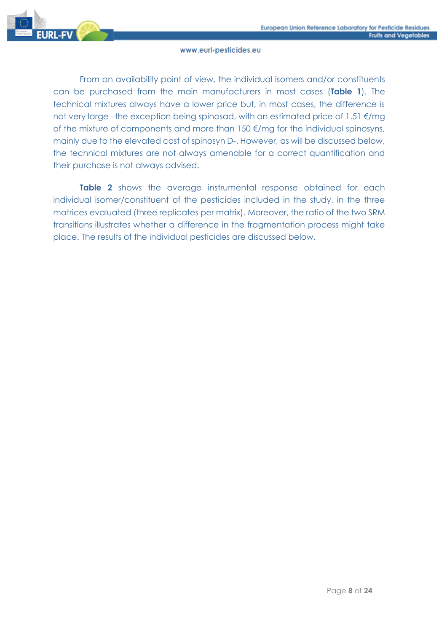

From an availability point of view, the individual isomers and/or constituents can be purchased from the main manufacturers in most cases (**Table 1**). The technical mixtures always have a lower price but, in most cases, the difference is not very large –the exception being spinosad, with an estimated price of 1.51 €/mg of the mixture of components and more than 150 €/mg for the individual spinosyns, mainly due to the elevated cost of spinosyn D-. However, as will be discussed below, the technical mixtures are not always amenable for a correct quantification and their purchase is not always advised.

**Table 2** shows the average instrumental response obtained for each individual isomer/constituent of the pesticides included in the study, in the three matrices evaluated (three replicates per matrix). Moreover, the ratio of the two SRM transitions illustrates whether a difference in the fragmentation process might take place. The results of the individual pesticides are discussed below.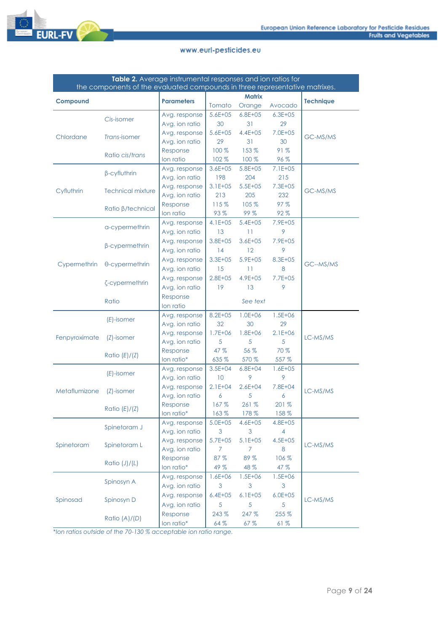

| Table 2. Average instrumental responses and ion ratios for                  |                          |                   |              |               |                |                  |  |  |  |
|-----------------------------------------------------------------------------|--------------------------|-------------------|--------------|---------------|----------------|------------------|--|--|--|
| the components of the evaluated compounds in three representative matrixes. |                          |                   |              |               |                |                  |  |  |  |
| Compound                                                                    |                          | <b>Parameters</b> |              | <b>Matrix</b> |                | <b>Technique</b> |  |  |  |
|                                                                             |                          |                   | Tomato       | Orange        | Avocado        |                  |  |  |  |
|                                                                             | Cis-isomer               | Avg. response     | $5.6E + 05$  | $6.8E + 05$   | $6.3E + 0.5$   |                  |  |  |  |
|                                                                             |                          | Avg. ion ratio    | 30           | 31            | 29             |                  |  |  |  |
| Chlordane                                                                   | Trans-isomer             | Avg. response     | $5.6E + 05$  | $4.4E + 05$   | $7.0E + 05$    | GC-MS/MS         |  |  |  |
|                                                                             |                          | Avg. ion ratio    | 29           | 31            | 30             |                  |  |  |  |
|                                                                             | Ratio cis/trans          | Response          | 100 %        | 153 %         | 91%            |                  |  |  |  |
|                                                                             |                          | lon ratio         | 102%         | 100 %         | 96%            |                  |  |  |  |
|                                                                             | β-cyfluthrin             | Avg. response     | $3.6E + 05$  | $5.8E + 05$   | $7.1E + 05$    |                  |  |  |  |
|                                                                             |                          | Avg. ion ratio    | 198          | 204           | 215            |                  |  |  |  |
| Cyfluthrin                                                                  | <b>Technical mixture</b> | Avg. response     | $3.1E + 05$  | $5.5E + 05$   | $7.3E + 05$    | GC-MS/MS         |  |  |  |
|                                                                             |                          | Avg. ion ratio    | 213          | 205           | 232            |                  |  |  |  |
|                                                                             | Ratio B/technical        | Response          | 115%         | 105 %         | 97%            |                  |  |  |  |
|                                                                             |                          | lon ratio         | 93%          | 99%           | 92%            |                  |  |  |  |
|                                                                             | a-cypermethrin           | Avg. response     | $4.1E + 05$  | $5.4E + 05$   | 7.9E+05        |                  |  |  |  |
|                                                                             |                          | Avg. ion ratio    | 13           | 11            | 9              |                  |  |  |  |
|                                                                             | β-cypermethrin           | Avg. response     | $3.8E + 05$  | $3.6E + 05$   | $7.9E + 05$    |                  |  |  |  |
|                                                                             |                          | Avg. ion ratio    | 14           | 12            | 9              |                  |  |  |  |
| Cypermethrin                                                                | θ-cypermethrin           | Avg. response     | $3.3E + 0.5$ | $5.9E + 05$   | $8.3E + 0.5$   | GC--MS/MS        |  |  |  |
|                                                                             |                          | Avg. ion ratio    | 15           | 11            | 8              |                  |  |  |  |
|                                                                             | ζ-cypermethrin           | Avg. response     | $2.8E + 05$  | $4.9E + 05$   | $7.7E + 05$    |                  |  |  |  |
|                                                                             |                          | Avg. ion ratio    | 19           | 13            | 9              |                  |  |  |  |
|                                                                             | Ratio                    | Response          |              | See text      |                |                  |  |  |  |
|                                                                             |                          | lon ratio         |              |               |                |                  |  |  |  |
|                                                                             | $(E)$ -isomer            | Avg. response     | $8.2E + 05$  | $1.0E + 06$   | $1.5E + 06$    |                  |  |  |  |
|                                                                             |                          | Avg. ion ratio    | 32           | 30            | 29             |                  |  |  |  |
| Fenpyroximate                                                               | $(Z)$ -isomer            | Avg. response     | $1.7E + 06$  | $1.8E + 06$   | $2.1E + 06$    | LC-MS/MS         |  |  |  |
|                                                                             |                          | Avg. ion ratio    | 5            | 5             | 5              |                  |  |  |  |
|                                                                             | Ratio $(E)/(Z)$          | Response          | 47 %         | 56 %          | 70 %           |                  |  |  |  |
|                                                                             |                          | lon ratio*        | 635 %        | 570 %         | 557 %          |                  |  |  |  |
|                                                                             | $(E)$ -isomer            | Avg. response     | $3.5E + 04$  | $6.8E + 04$   | $1.6E + 05$    |                  |  |  |  |
|                                                                             |                          | Avg. ion ratio    | 10           | 9             | 9              |                  |  |  |  |
| Metaflumizone                                                               | $(Z)$ -isomer            | Avg. response     | $2.1E+04$    | $2.6E + 04$   | 7.8E+04        | LC-MS/MS         |  |  |  |
|                                                                             |                          | Avg. ion ratio    | 6            | 5             | 6              |                  |  |  |  |
|                                                                             | Ratio $(E)/(Z)$          | Response          | 167%         | 261%          | 201 %          |                  |  |  |  |
|                                                                             |                          | lon ratio*        | 163%         | 178 %         | 158 %          |                  |  |  |  |
|                                                                             | Spinetoram J             | Avg. response     | $5.0E + 05$  | 4.6E+05       | 4.8E+05        |                  |  |  |  |
|                                                                             |                          | Avg. ion ratio    | 3            | 3             | $\overline{4}$ |                  |  |  |  |
| Spinetoram                                                                  | Spinetoram L             | Avg. response     | $5.7E + 05$  | $5.1E + 05$   | $4.5E + 05$    | LC-MS/MS         |  |  |  |
|                                                                             |                          | Avg. ion ratio    | 7            | 7.            | 8              |                  |  |  |  |
|                                                                             | Ratio $(J)/(L)$          | Response          | 87 %         | 89 %          | 106 %          |                  |  |  |  |
|                                                                             |                          | lon ratio*        | 49 %         | 48 %          | 47 %           |                  |  |  |  |
|                                                                             | Spinosyn A               | Avg. response     | 1.6E+06      | $1.5E + 06$   | 1.5E+06        |                  |  |  |  |
|                                                                             |                          | Avg. ion ratio    | 3            | 3             | 3              |                  |  |  |  |
|                                                                             |                          | Avg. response     | $6.4E + 05$  | $6.1E + 05$   | $6.0E + 05$    | LC-MS/MS         |  |  |  |
| Spinosad                                                                    | Spinosyn D               | Avg. ion ratio    | 5            | 5             | 5              |                  |  |  |  |
|                                                                             |                          | Response          | 243 %        | 247 %         | 255 %          |                  |  |  |  |
|                                                                             | Ratio $(A)/(D)$          | lon ratio*        | 64 %         | 67%           | 61%            |                  |  |  |  |

\**Ion ratios outside of the 70-130 % acceptable ion ratio range.*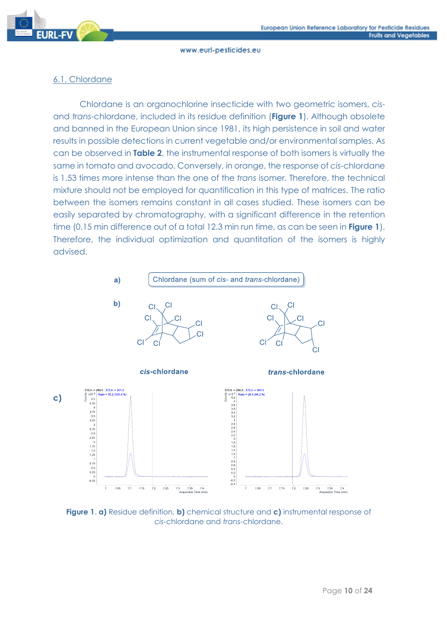

# 6.1. Chlordane

Chlordane is an organochlorine insecticide with two geometric isomers, *cis*and *trans*-chlordane, included in its residue definition (**Figure 1**). Although obsolete and banned in the European Union since 1981, its high persistence in soil and water results in possible detections in current vegetable and/or environmental samples. As can be observed in **Table 2**, the instrumental response of both isomers is virtually the same in tomato and avocado. Conversely, in orange, the response of *cis*-chlordane is 1.53 times more intense than the one of the *trans* isomer. Therefore, the technical mixture should not be employed for quantification in this type of matrices. The ratio between the isomers remains constant in all cases studied. These isomers can be easily separated by chromatography, with a significant difference in the retention time (0.15 min difference out of a total 12.3 min run time, as can be seen in **Figure 1**). Therefore, the individual optimization and quantitation of the isomers is highly advised.



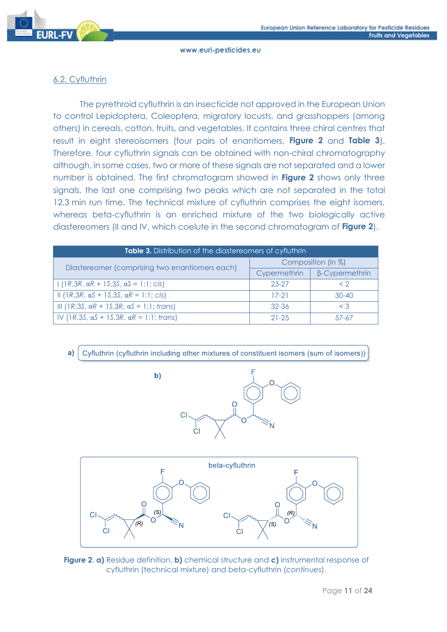

# 6.2. Cyfluthrin

The pyrethroid cyfluthrin is an insecticide not approved in the European Union to control Lepidoptera, Coleoptera, migratory locusts, and grasshoppers (among others) in cereals, cotton, fruits, and vegetables. It contains three chiral centres that result in eight stereoisomers (four pairs of enantiomers, **Figure 2** and **Table 3**). Therefore, four cyfluthrin signals can be obtained with non-chiral chromatography although, in some cases, two or more of these signals are not separated and a lower number is obtained. The first chromatogram showed in **Figure 2** shows only three signals, the last one comprising two peaks which are not separated in the total 12.3 min run time. The technical mixture of cyfluthrin comprises the eight isomers, whereas beta-cyfluthrin is an enriched mixture of the two biologically active diastereomers (II and IV, which coelute in the second chromatogram of **Figure 2**).

| Table 3. Distribution of the diastereomers of cyfluthrin |                    |                       |  |  |  |  |
|----------------------------------------------------------|--------------------|-----------------------|--|--|--|--|
| Diastereomer (comprising two enantiomers each)           | Composition (in %) |                       |  |  |  |  |
|                                                          | Cypermethrin       | $\beta$ -Cypermethrin |  |  |  |  |
| $1(1R,3R, \alpha R + 1S,3S, \alpha S = 1:1; cis)$        | $23 - 27$          | $\langle$ 2           |  |  |  |  |
| II (1R,3R, αS + 1S,3S, αR = 1:1; cis)                    | $17-21$            | $30 - 40$             |  |  |  |  |
| III (1R, 3S, αR + 1S, 3R, αS = 1:1; trans)               | $32 - 36$          | $\leq$ 3              |  |  |  |  |
| IV (1R,3S, αS + 1S,3R, αR = 1:1; trans)                  | $21 - 25$          | 57-67                 |  |  |  |  |

Cyfluthrin (cyfluthrin including other mixtures of constituent isomers (sum of isomers))  $a)$ 





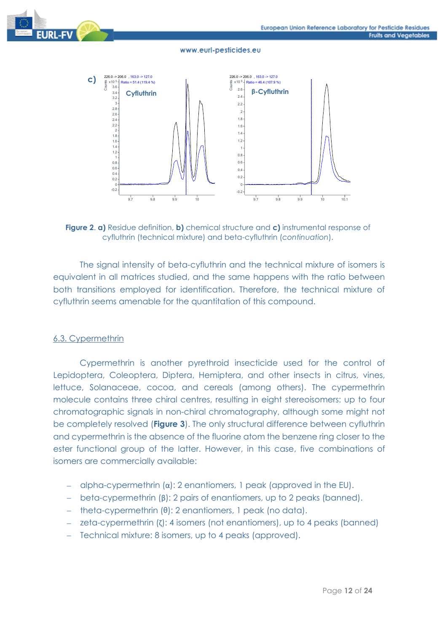



**Figure 2**. **a)** Residue definition, **b)** chemical structure and **c)** instrumental response of cyfluthrin (technical mixture) and beta-cyfluthrin (*continuation*).

The signal intensity of beta-cyfluthrin and the technical mixture of isomers is equivalent in all matrices studied, and the same happens with the ratio between both transitions employed for identification. Therefore, the technical mixture of cyfluthrin seems amenable for the quantitation of this compound.

#### 6.3. Cypermethrin

Cypermethrin is another pyrethroid insecticide used for the control of Lepidoptera, Coleoptera, Diptera, Hemiptera, and other insects in citrus, vines, lettuce, Solanaceae, cocoa, and cereals (among others). The cypermethrin molecule contains three chiral centres, resulting in eight stereoisomers: up to four chromatographic signals in non-chiral chromatography, although some might not be completely resolved (**Figure 3**). The only structural difference between cyfluthrin and cypermethrin is the absence of the fluorine atom the benzene ring closer to the ester functional group of the latter. However, in this case, five combinations of isomers are commercially available:

- − alpha-cypermethrin (α): 2 enantiomers, 1 peak (approved in the EU).
- − beta-cypermethrin (β): 2 pairs of enantiomers, up to 2 peaks (banned).
- − theta-cypermethrin (θ): 2 enantiomers, 1 peak (no data).
- − zeta-cypermethrin (ζ): 4 isomers (not enantiomers), up to 4 peaks (banned)
- − Technical mixture: 8 isomers, up to 4 peaks (approved).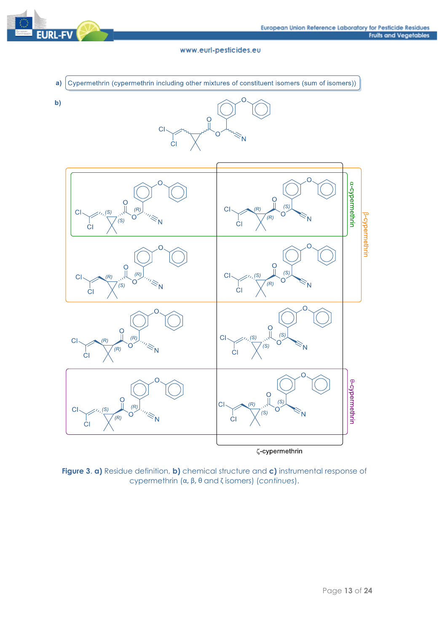



**Figure 3**. **a)** Residue definition, **b)** chemical structure and **c)** instrumental response of cypermethrin (α, β, θ and ζ isomers) (*continues*).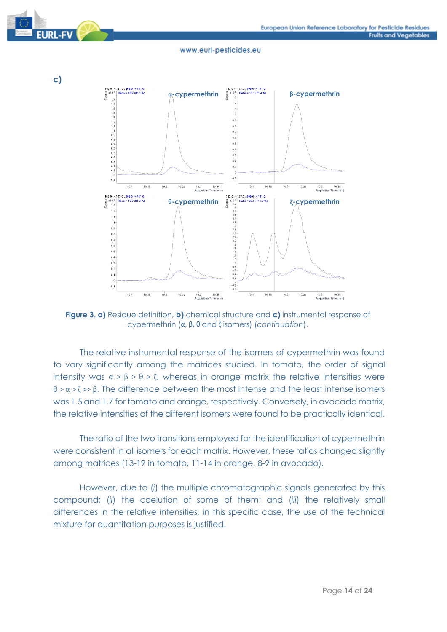



**c)**

#### www.eurl-pesticides.eu



**Figure 3**. **a)** Residue definition, **b)** chemical structure and **c)** instrumental response of cypermethrin (α, β, θ and ζ isomers) (*continuation*).

The relative instrumental response of the isomers of cypermethrin was found to vary significantly among the matrices studied. In tomato, the order of signal intensity was  $\alpha > \beta > \theta > \zeta$ , whereas in orange matrix the relative intensities were θ > α > ζ >> β. The difference between the most intense and the least intense isomers was 1.5 and 1.7 for tomato and orange, respectively. Conversely, in avocado matrix, the relative intensities of the different isomers were found to be practically identical.

The ratio of the two transitions employed for the identification of cypermethrin were consistent in all isomers for each matrix. However, these ratios changed slightly among matrices (13-19 in tomato, 11-14 in orange, 8-9 in avocado).

However, due to (*i*) the multiple chromatographic signals generated by this compound; (*ii*) the coelution of some of them; and (*iii*) the relatively small differences in the relative intensities, in this specific case, the use of the technical mixture for quantitation purposes is justified.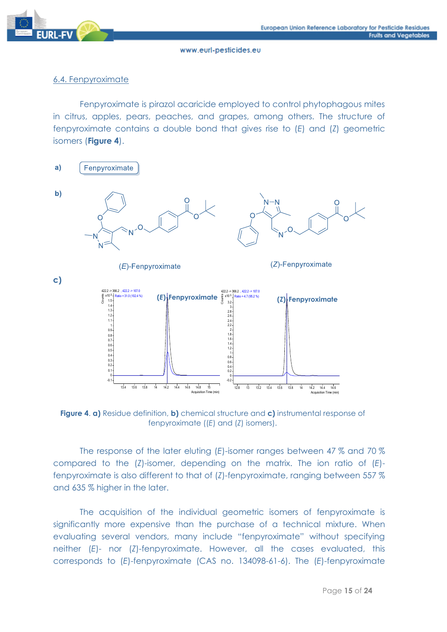

# 6.4. Fenpyroximate

Fenpyroximate is pirazol acaricide employed to control phytophagous mites in citrus, apples, pears, peaches, and grapes, among others. The structure of fenpyroximate contains a double bond that gives rise to (*E*) and (*Z*) geometric isomers (**Figure 4**).



**Figure 4**. **a)** Residue definition, **b)** chemical structure and **c)** instrumental response of fenpyroximate ((*E*) and (*Z*) isomers).

The response of the later eluting (*E*)-isomer ranges between 47 % and 70 % compared to the (*Z*)-isomer, depending on the matrix. The ion ratio of (*E*) fenpyroximate is also different to that of (*Z*)-fenpyroximate, ranging between 557 % and 635 % higher in the later.

The acquisition of the individual geometric isomers of fenpyroximate is significantly more expensive than the purchase of a technical mixture. When evaluating several vendors, many include "fenpyroximate" without specifying neither (*E*)- nor (*Z*)-fenpyroximate. However, all the cases evaluated, this corresponds to (*E*)-fenpyroximate (CAS no. 134098-61-6). The (*E*)-fenpyroximate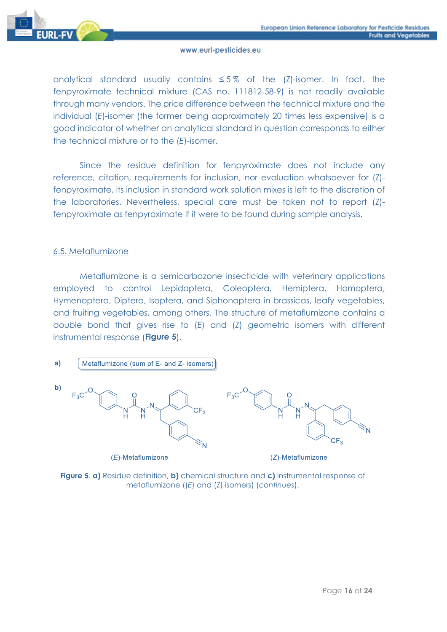

analytical standard usually contains ≤ 5 % of the (*Z*)-isomer. In fact, the fenpyroximate technical mixture (CAS no. 111812-58-9) is not readily available through many vendors. The price difference between the technical mixture and the individual (*E*)-isomer (the former being approximately 20 times less expensive) is a good indicator of whether an analytical standard in question corresponds to either the technical mixture or to the (*E*)-isomer.

Since the residue definition for fenpyroximate does not include any reference, citation, requirements for inclusion, nor evaluation whatsoever for (*Z*) fenpyroximate, its inclusion in standard work solution mixes is left to the discretion of the laboratories. Nevertheless, special care must be taken not to report (*Z*) fenpyroximate as fenpyroximate if it were to be found during sample analysis.

### 6.5. Metaflumizone

Metaflumizone is a semicarbazone insecticide with veterinary applications employed to control Lepidoptera, Coleoptera, Hemiptera, Homoptera, Hymenoptera, Diptera, Isoptera, and Siphonaptera in brassicas, leafy vegetables, and fruiting vegetables, among others. The structure of metaflumizone contains a double bond that gives rise to (*E*) and (*Z*) geometric isomers with different instrumental response (**Figure 5**).

 $a)$ Metaflumizone (sum of E- and Z- isomers)



 $(E)$ -Metaflumizone



(Z)-Metaflumizone

**Figure 5**. **a)** Residue definition, **b)** chemical structure and **c)** instrumental response of metaflumizone ((*E*) and (*Z*) isomers) (*continues*).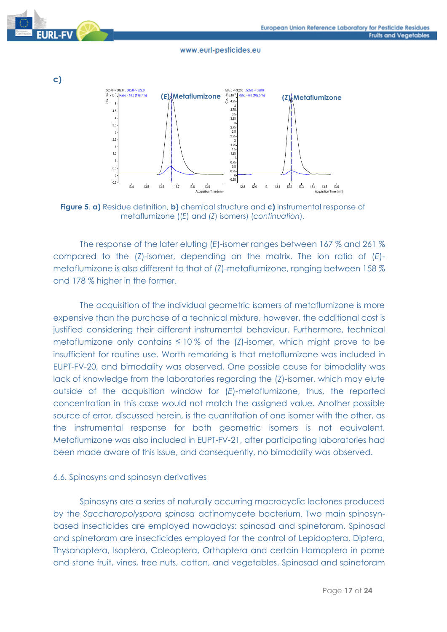





**Figure 5**. **a)** Residue definition, **b)** chemical structure and **c)** instrumental response of metaflumizone ((*E*) and (*Z*) isomers) (*continuation*).

The response of the later eluting (*E*)-isomer ranges between 167 % and 261 % compared to the (*Z*)-isomer, depending on the matrix. The ion ratio of (*E*) metaflumizone is also different to that of (*Z*)-metaflumizone, ranging between 158 % and 178 % higher in the former.

The acquisition of the individual geometric isomers of metaflumizone is more expensive than the purchase of a technical mixture, however, the additional cost is justified considering their different instrumental behaviour. Furthermore, technical metaflumizone only contains  $\leq 10\%$  of the (*Z*)-isomer, which might prove to be insufficient for routine use. Worth remarking is that metaflumizone was included in EUPT-FV-20, and bimodality was observed. One possible cause for bimodality was lack of knowledge from the laboratories regarding the (*Z*)-isomer, which may elute outside of the acquisition window for (*E*)-metaflumizone, thus, the reported concentration in this case would not match the assigned value. Another possible source of error, discussed herein, is the quantitation of one isomer with the other, as the instrumental response for both geometric isomers is not equivalent. Metaflumizone was also included in EUPT-FV-21, after participating laboratories had been made aware of this issue, and consequently, no bimodality was observed.

### 6.6. Spinosyns and spinosyn derivatives

Spinosyns are a series of naturally occurring macrocyclic lactones produced by the *Saccharopolyspora spinosa* actinomycete bacterium. Two main spinosynbased insecticides are employed nowadays: spinosad and spinetoram. Spinosad and spinetoram are insecticides employed for the control of Lepidoptera, Diptera, Thysanoptera, Isoptera, Coleoptera, Orthoptera and certain Homoptera in pome and stone fruit, vines, tree nuts, cotton, and vegetables. Spinosad and spinetoram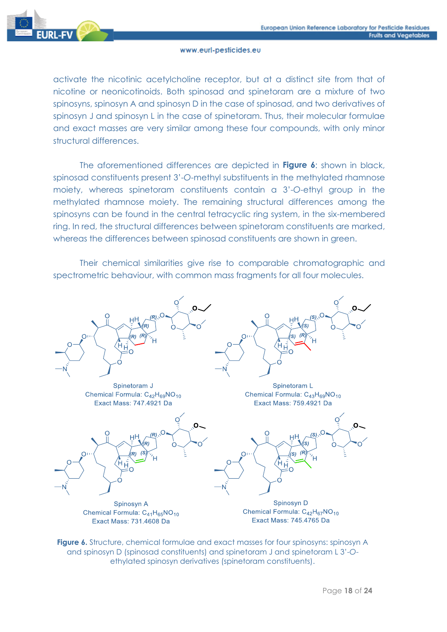

activate the nicotinic acetylcholine receptor, but at a distinct site from that of nicotine or neonicotinoids. Both spinosad and spinetoram are a mixture of two spinosyns, spinosyn A and spinosyn D in the case of spinosad, and two derivatives of spinosyn J and spinosyn L in the case of spinetoram. Thus, their molecular formulae and exact masses are very similar among these four compounds, with only minor structural differences.

The aforementioned differences are depicted in **Figure 6**: shown in black, spinosad constituents present 3'-*O*-methyl substituents in the methylated rhamnose moiety, whereas spinetoram constituents contain a 3'-*O*-ethyl group in the methylated rhamnose moiety. The remaining structural differences among the spinosyns can be found in the central tetracyclic ring system, in the six-membered ring. In red, the structural differences between spinetoram constituents are marked, whereas the differences between spinosad constituents are shown in green.

Their chemical similarities give rise to comparable chromatographic and spectrometric behaviour, with common mass fragments for all four molecules.



**Figure 6.** Structure, chemical formulae and exact masses for four spinosyns: spinosyn A and spinosyn D (spinosad constituents) and spinetoram J and spinetoram L 3'-*O*ethylated spinosyn derivatives (spinetoram constituents).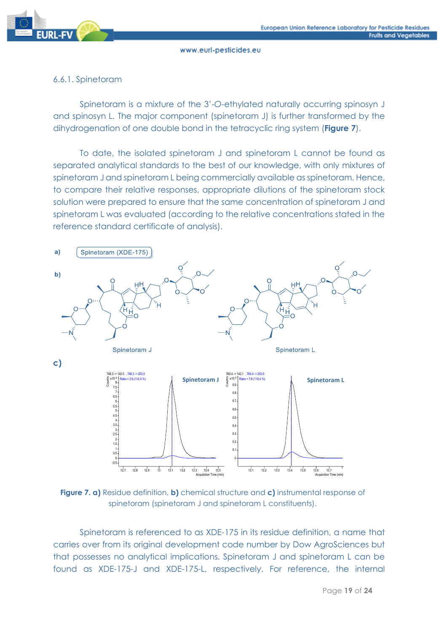

# 6.6.1. Spinetoram

Spinetoram is a mixture of the 3'-*O*-ethylated naturally occurring spinosyn J and spinosyn L. The major component (spinetoram J) is further transformed by the dihydrogenation of one double bond in the tetracyclic ring system (**Figure 7**).

To date, the isolated spinetoram J and spinetoram L cannot be found as separated analytical standards to the best of our knowledge, with only mixtures of spinetoram J and spinetoram L being commercially available as spinetoram. Hence, to compare their relative responses, appropriate dilutions of the spinetoram stock solution were prepared to ensure that the same concentration of spinetoram J and spinetoram L was evaluated (according to the relative concentrations stated in the reference standard certificate of analysis).



**Figure 7. a)** Residue definition, **b)** chemical structure and **c)** instrumental response of spinetoram (spinetoram J and spinetoram L constituents).

Spinetoram is referenced to as XDE-175 in its residue definition, a name that carries over from its original development code number by Dow AgroSciences but that possesses no analytical implications. Spinetoram J and spinetoram L can be found as XDE-175-J and XDE-175-L, respectively. For reference, the internal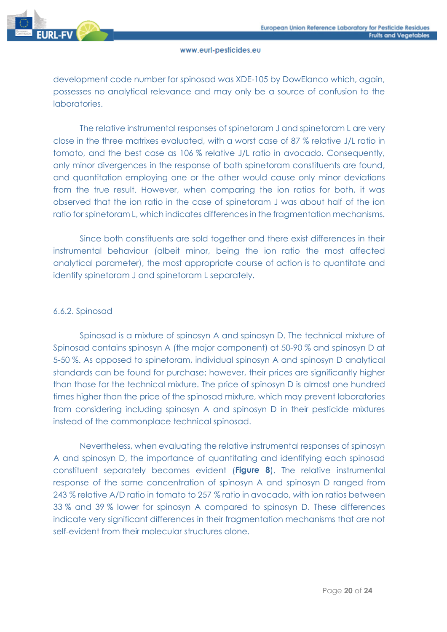

development code number for spinosad was XDE-105 by DowElanco which, again, possesses no analytical relevance and may only be a source of confusion to the laboratories.

The relative instrumental responses of spinetoram J and spinetoram L are very close in the three matrixes evaluated, with a worst case of 87 % relative J/L ratio in tomato, and the best case as 106 % relative J/L ratio in avocado. Consequently, only minor divergences in the response of both spinetoram constituents are found, and quantitation employing one or the other would cause only minor deviations from the true result. However, when comparing the ion ratios for both, it was observed that the ion ratio in the case of spinetoram J was about half of the ion ratio for spinetoram L, which indicates differences in the fragmentation mechanisms.

Since both constituents are sold together and there exist differences in their instrumental behaviour (albeit minor, being the ion ratio the most affected analytical parameter), the most appropriate course of action is to quantitate and identify spinetoram J and spinetoram L separately.

# 6.6.2. Spinosad

Spinosad is a mixture of spinosyn A and spinosyn D. The technical mixture of Spinosad contains spinosyn A (the major component) at 50-90 % and spinosyn D at 5-50 %. As opposed to spinetoram, individual spinosyn A and spinosyn D analytical standards can be found for purchase; however, their prices are significantly higher than those for the technical mixture. The price of spinosyn D is almost one hundred times higher than the price of the spinosad mixture, which may prevent laboratories from considering including spinosyn A and spinosyn D in their pesticide mixtures instead of the commonplace technical spinosad.

Nevertheless, when evaluating the relative instrumental responses of spinosyn A and spinosyn D, the importance of quantitating and identifying each spinosad constituent separately becomes evident (**Figure 8**). The relative instrumental response of the same concentration of spinosyn A and spinosyn D ranged from 243 % relative A/D ratio in tomato to 257 % ratio in avocado, with ion ratios between 33 % and 39 % lower for spinosyn A compared to spinosyn D. These differences indicate very significant differences in their fragmentation mechanisms that are not self-evident from their molecular structures alone.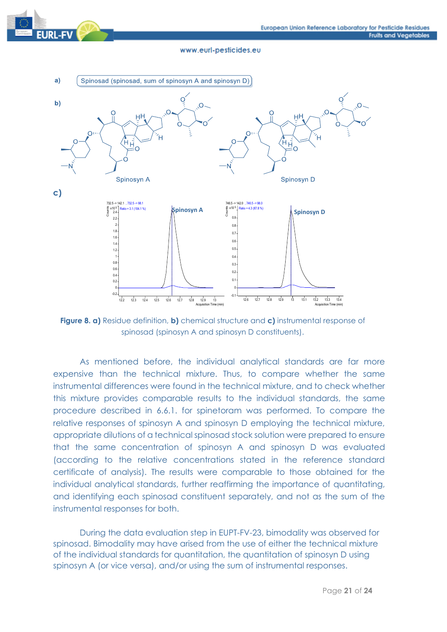



**Figure 8. a)** Residue definition, **b)** chemical structure and **c)** instrumental response of spinosad (spinosyn A and spinosyn D constituents).

As mentioned before, the individual analytical standards are far more expensive than the technical mixture. Thus, to compare whether the same instrumental differences were found in the technical mixture, and to check whether this mixture provides comparable results to the individual standards, the same procedure described in 6.6.1. for spinetoram was performed. To compare the relative responses of spinosyn A and spinosyn D employing the technical mixture, appropriate dilutions of a technical spinosad stock solution were prepared to ensure that the same concentration of spinosyn A and spinosyn D was evaluated (according to the relative concentrations stated in the reference standard certificate of analysis). The results were comparable to those obtained for the individual analytical standards, further reaffirming the importance of quantitating, and identifying each spinosad constituent separately, and not as the sum of the instrumental responses for both.

During the data evaluation step in EUPT-FV-23, bimodality was observed for spinosad. Bimodality may have arised from the use of either the technical mixture of the individual standards for quantitation, the quantitation of spinosyn D using spinosyn A (or vice versa), and/or using the sum of instrumental responses.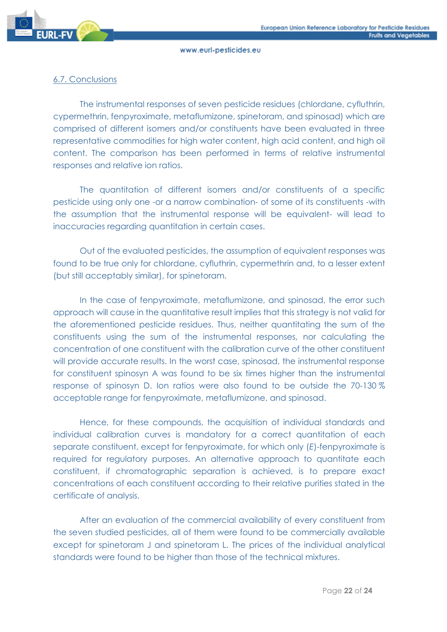

# 6.7. Conclusions

The instrumental responses of seven pesticide residues (chlordane, cyfluthrin, cypermethrin, fenpyroximate, metaflumizone, spinetoram, and spinosad) which are comprised of different isomers and/or constituents have been evaluated in three representative commodities for high water content, high acid content, and high oil content. The comparison has been performed in terms of relative instrumental responses and relative ion ratios.

The quantitation of different isomers and/or constituents of a specific pesticide using only one -or a narrow combination- of some of its constituents -with the assumption that the instrumental response will be equivalent- will lead to inaccuracies regarding quantitation in certain cases.

Out of the evaluated pesticides, the assumption of equivalent responses was found to be true only for chlordane, cyfluthrin, cypermethrin and, to a lesser extent (but still acceptably similar), for spinetoram.

In the case of fenpyroximate, metaflumizone, and spinosad, the error such approach will cause in the quantitative result implies that this strategy is not valid for the aforementioned pesticide residues. Thus, neither quantitating the sum of the constituents using the sum of the instrumental responses, nor calculating the concentration of one constituent with the calibration curve of the other constituent will provide accurate results. In the worst case, spinosad, the instrumental response for constituent spinosyn A was found to be six times higher than the instrumental response of spinosyn D. Ion ratios were also found to be outside the 70-130 % acceptable range for fenpyroximate, metaflumizone, and spinosad.

Hence, for these compounds, the acquisition of individual standards and individual calibration curves is mandatory for a correct quantitation of each separate constituent, except for fenpyroximate, for which only (*E*)-fenpyroximate is required for regulatory purposes. An alternative approach to quantitate each constituent, if chromatographic separation is achieved, is to prepare exact concentrations of each constituent according to their relative purities stated in the certificate of analysis.

After an evaluation of the commercial availability of every constituent from the seven studied pesticides, all of them were found to be commercially available except for spinetoram J and spinetoram L. The prices of the individual analytical standards were found to be higher than those of the technical mixtures.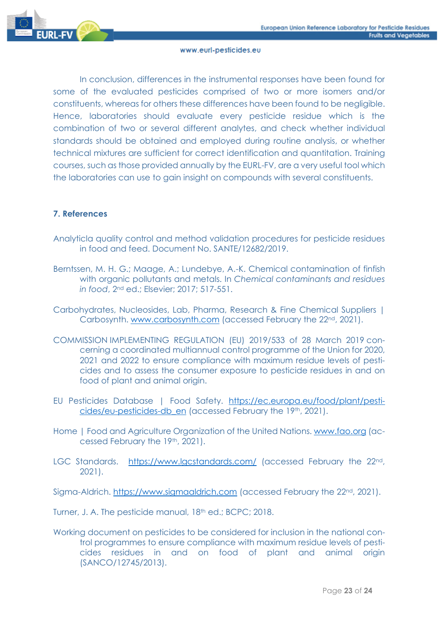

In conclusion, differences in the instrumental responses have been found for some of the evaluated pesticides comprised of two or more isomers and/or constituents, whereas for others these differences have been found to be negligible. Hence, laboratories should evaluate every pesticide residue which is the combination of two or several different analytes, and check whether individual standards should be obtained and employed during routine analysis, or whether technical mixtures are sufficient for correct identification and quantitation. Training courses, such as those provided annually by the EURL-FV, are a very useful tool which the laboratories can use to gain insight on compounds with several constituents.

# **7. References**

- Analyticla quality control and method validation procedures for pesticide residues in food and feed. Document No. SANTE/12682/2019.
- Berntssen, M. H. G.; Maage, A.; Lundebye, A.-K. Chemical contamination of finfish with organic pollutants and metals. In *Chemical contaminants and residues in food*, 2nd ed.; Elsevier; 2017; 517-551.
- Carbohydrates, Nucleosides, Lab, Pharma, Research & Fine Chemical Suppliers | Carbosynth. [www.carbosynth.com](http://www.carbosynth.com/) (accessed February the 22<sup>nd</sup>, 2021).
- COMMISSION IMPLEMENTING REGULATION (EU) 2019/533 of 28 March 2019 concerning a coordinated multiannual control programme of the Union for 2020, 2021 and 2022 to ensure compliance with maximum residue levels of pesticides and to assess the consumer exposure to pesticide residues in and on food of plant and animal origin.
- EU Pesticides Database | Food Safety. [https://ec.europa.eu/food/plant/pesti](https://ec.europa.eu/food/plant/pesticides/eu-pesticides-db_en)[cides/eu-pesticides-db\\_en](https://ec.europa.eu/food/plant/pesticides/eu-pesticides-db_en) (accessed February the 19th, 2021).
- Home | Food and Agriculture Organization of the United Nations. [www.fao.org](http://www.fao.org/) (accessed February the 19th, 2021).
- LGC Standards. <https://www.lgcstandards.com/> (accessed February the 22nd, 2021).

Sigma-Aldrich. [https://www.sigmaaldrich.com](https://www.sigmaaldrich.com/) (accessed February the 22<sup>nd</sup>, 2021).

Turner, J. A. The pesticide manual, 18<sup>th</sup> ed.; BCPC; 2018.

Working document on pesticides to be considered for inclusion in the national control programmes to ensure compliance with maximum residue levels of pesticides residues in and on food of plant and animal origin (SANCO/12745/2013).